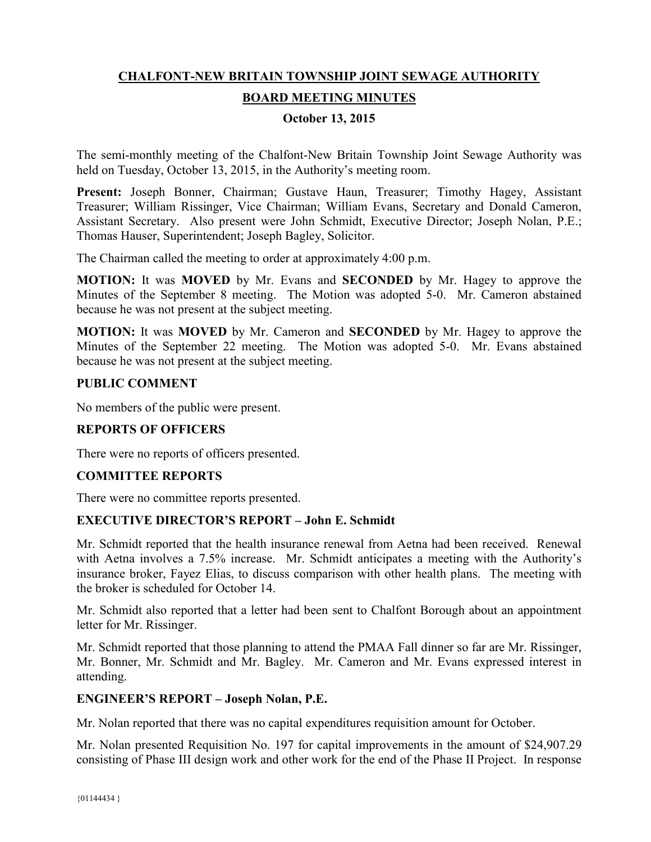# **CHALFONT-NEW BRITAIN TOWNSHIP JOINT SEWAGE AUTHORITY**

# **BOARD MEETING MINUTES**

### **October 13, 2015**

The semi-monthly meeting of the Chalfont-New Britain Township Joint Sewage Authority was held on Tuesday, October 13, 2015, in the Authority's meeting room.

**Present:** Joseph Bonner, Chairman; Gustave Haun, Treasurer; Timothy Hagey, Assistant Treasurer; William Rissinger, Vice Chairman; William Evans, Secretary and Donald Cameron, Assistant Secretary. Also present were John Schmidt, Executive Director; Joseph Nolan, P.E.; Thomas Hauser, Superintendent; Joseph Bagley, Solicitor.

The Chairman called the meeting to order at approximately 4:00 p.m.

**MOTION:** It was **MOVED** by Mr. Evans and **SECONDED** by Mr. Hagey to approve the Minutes of the September 8 meeting. The Motion was adopted 5-0. Mr. Cameron abstained because he was not present at the subject meeting.

**MOTION:** It was **MOVED** by Mr. Cameron and **SECONDED** by Mr. Hagey to approve the Minutes of the September 22 meeting. The Motion was adopted 5-0. Mr. Evans abstained because he was not present at the subject meeting.

### **PUBLIC COMMENT**

No members of the public were present.

### **REPORTS OF OFFICERS**

There were no reports of officers presented.

### **COMMITTEE REPORTS**

There were no committee reports presented.

### **EXECUTIVE DIRECTOR'S REPORT – John E. Schmidt**

Mr. Schmidt reported that the health insurance renewal from Aetna had been received. Renewal with Aetna involves a 7.5% increase. Mr. Schmidt anticipates a meeting with the Authority's insurance broker, Fayez Elias, to discuss comparison with other health plans. The meeting with the broker is scheduled for October 14.

Mr. Schmidt also reported that a letter had been sent to Chalfont Borough about an appointment letter for Mr. Rissinger.

Mr. Schmidt reported that those planning to attend the PMAA Fall dinner so far are Mr. Rissinger, Mr. Bonner, Mr. Schmidt and Mr. Bagley. Mr. Cameron and Mr. Evans expressed interest in attending.

#### **ENGINEER'S REPORT – Joseph Nolan, P.E.**

Mr. Nolan reported that there was no capital expenditures requisition amount for October.

Mr. Nolan presented Requisition No. 197 for capital improvements in the amount of \$24,907.29 consisting of Phase III design work and other work for the end of the Phase II Project. In response